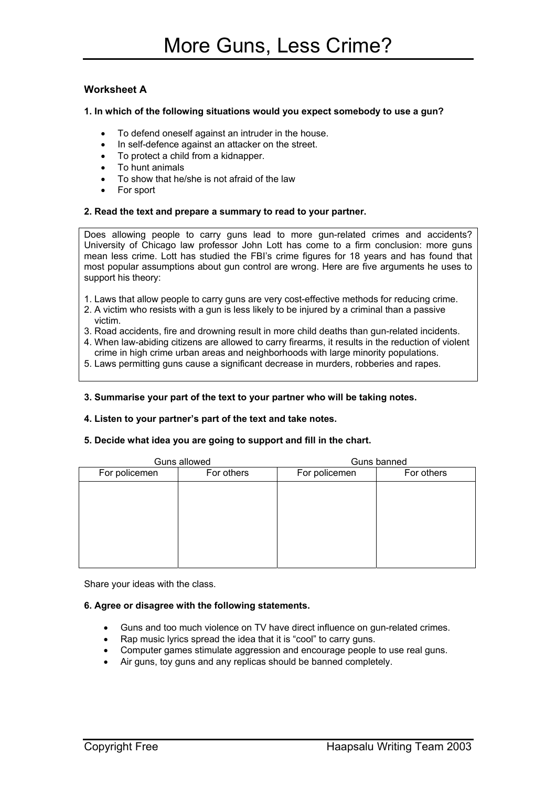## **Worksheet A**

### **1. In which of the following situations would you expect somebody to use a gun?**

- To defend oneself against an intruder in the house.
- In self-defence against an attacker on the street.
- To protect a child from a kidnapper.
- To hunt animals
- To show that he/she is not afraid of the law
- For sport

#### **2. Read the text and prepare a summary to read to your partner.**

Does allowing people to carry guns lead to more gun-related crimes and accidents? University of Chicago law professor John Lott has come to a firm conclusion: more guns mean less crime. Lott has studied the FBI's crime figures for 18 years and has found that most popular assumptions about gun control are wrong. Here are five arguments he uses to support his theory:

- 1. Laws that allow people to carry guns are very cost-effective methods for reducing crime.
- 2. A victim who resists with a gun is less likely to be injured by a criminal than a passive victim.
- 3. Road accidents, fire and drowning result in more child deaths than gun-related incidents.
- 4. When law-abiding citizens are allowed to carry firearms, it results in the reduction of violent crime in high crime urban areas and neighborhoods with large minority populations.
- 5. Laws permitting guns cause a significant decrease in murders, robberies and rapes.

### **3. Summarise your part of the text to your partner who will be taking notes.**

#### **4. Listen to your partner's part of the text and take notes.**

## **5. Decide what idea you are going to support and fill in the chart.**

| Guns allowed  |            | Guns banned   |            |
|---------------|------------|---------------|------------|
| For policemen | For others | For policemen | For others |
|               |            |               |            |
|               |            |               |            |
|               |            |               |            |
|               |            |               |            |
|               |            |               |            |
|               |            |               |            |
|               |            |               |            |

Share your ideas with the class.

## **6. Agree or disagree with the following statements.**

- Guns and too much violence on TV have direct influence on gun-related crimes.
- Rap music lyrics spread the idea that it is "cool" to carry guns.
- Computer games stimulate aggression and encourage people to use real guns.
- Air guns, toy guns and any replicas should be banned completely.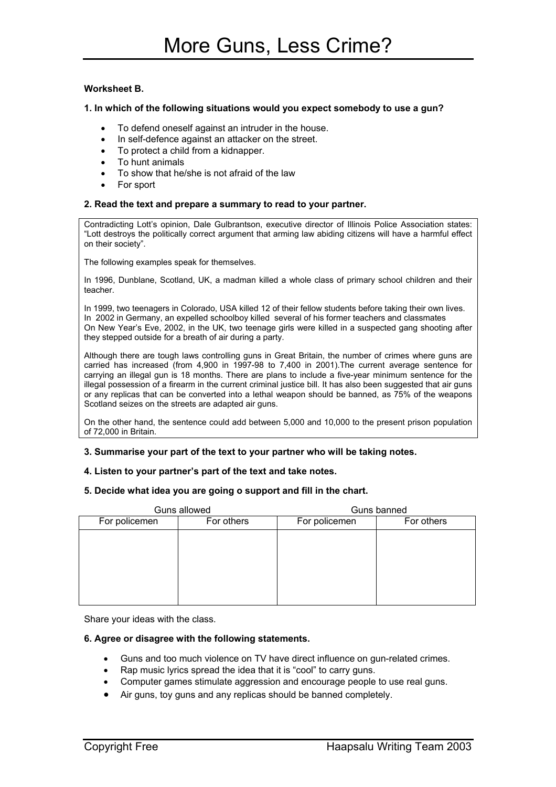## **Worksheet B.**

## **1. In which of the following situations would you expect somebody to use a gun?**

- To defend oneself against an intruder in the house.
- In self-defence against an attacker on the street.
- To protect a child from a kidnapper.
- To hunt animals
- To show that he/she is not afraid of the law
- For sport

#### **2. Read the text and prepare a summary to read to your partner.**

Contradicting Lott's opinion, Dale Gulbrantson, executive director of Illinois Police Association states: "Lott destroys the politically correct argument that arming law abiding citizens will have a harmful effect on their society".

The following examples speak for themselves.

In 1996, Dunblane, Scotland, UK, a madman killed a whole class of primary school children and their teacher.

In 1999, two teenagers in Colorado, USA killed 12 of their fellow students before taking their own lives. In 2002 in Germany, an expelled schoolboy killed several of his former teachers and classmates On New Year's Eve, 2002, in the UK, two teenage girls were killed in a suspected gang shooting after they stepped outside for a breath of air during a party.

Although there are tough laws controlling guns in Great Britain, the number of crimes where guns are carried has increased (from 4,900 in 1997-98 to 7,400 in 2001).The current average sentence for carrying an illegal gun is 18 months. There are plans to include a five-year minimum sentence for the illegal possession of a firearm in the current criminal justice bill. It has also been suggested that air guns or any replicas that can be converted into a lethal weapon should be banned, as 75% of the weapons Scotland seizes on the streets are adapted air guns.

On the other hand, the sentence could add between 5,000 and 10,000 to the present prison population of 72,000 in Britain.

#### **3. Summarise your part of the text to your partner who will be taking notes.**

#### **4. Listen to your partner's part of the text and take notes.**

#### **5. Decide what idea you are going o support and fill in the chart.**

| Guns allowed  |            | Guns banned   |            |
|---------------|------------|---------------|------------|
| For policemen | For others | For policemen | For others |
|               |            |               |            |
|               |            |               |            |
|               |            |               |            |
|               |            |               |            |
|               |            |               |            |
|               |            |               |            |

Share your ideas with the class.

## **6. Agree or disagree with the following statements.**

- Guns and too much violence on TV have direct influence on gun-related crimes.
- Rap music lyrics spread the idea that it is "cool" to carry guns.
- Computer games stimulate aggression and encourage people to use real guns.
- Air guns, toy guns and any replicas should be banned completely.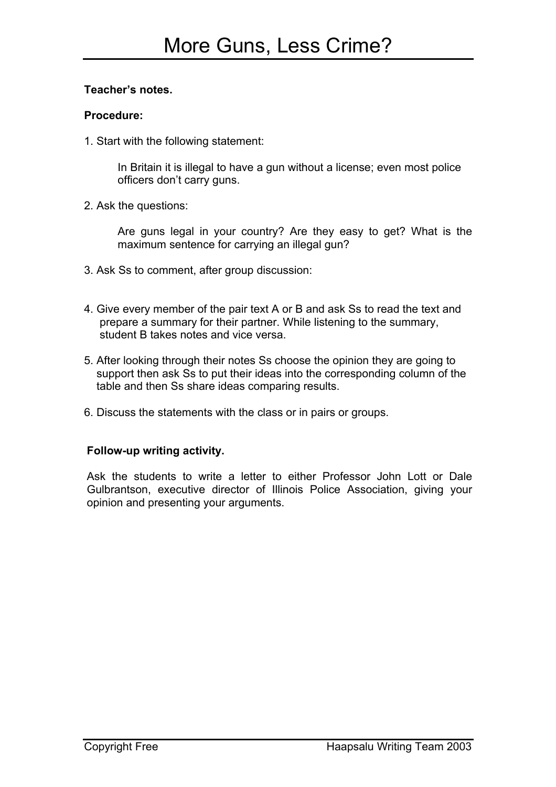## **Teacher's notes.**

## **Procedure:**

1. Start with the following statement:

In Britain it is illegal to have a gun without a license; even most police officers don't carry guns.

2. Ask the questions:

Are guns legal in your country? Are they easy to get? What is the maximum sentence for carrying an illegal gun?

- 3. Ask Ss to comment, after group discussion:
- 4. Give every member of the pair text A or B and ask Ss to read the text and prepare a summary for their partner. While listening to the summary, student B takes notes and vice versa.
- 5. After looking through their notes Ss choose the opinion they are going to support then ask Ss to put their ideas into the corresponding column of the table and then Ss share ideas comparing results.
- 6. Discuss the statements with the class or in pairs or groups.

# **Follow-up writing activity.**

Ask the students to write a letter to either Professor John Lott or Dale Gulbrantson, executive director of Illinois Police Association, giving your opinion and presenting your arguments.